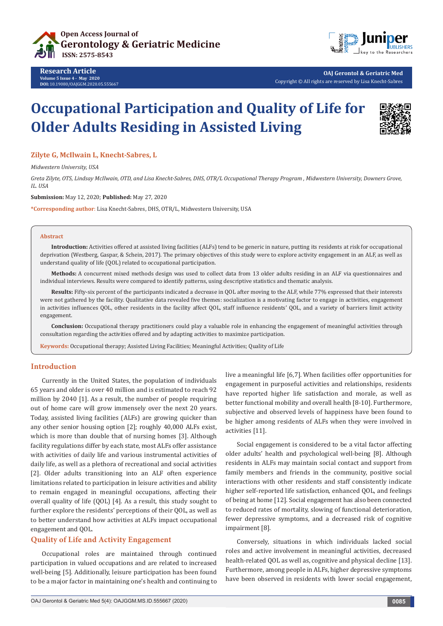



**OAJ Gerontol & Geriatric Med** Copyright © All rights are reserved by Lisa Knecht-Sabres

# **Occupational Participation and Quality of Life for Older Adults Residing in Assisted Living**



#### **Zilyte G, McIlwain L, Knecht-Sabres, L**

*Midwestern University, USA*

*Greta Zilyte, OTS, Lindsay McIlwain, OTD, and Lisa Knecht-Sabres, DHS, OTR/L Occupational Therapy Program , Midwestern University, Downers Grove, IL. USA*

**Submission:** May 12, 2020; **Published:** May 27, 2020

**\*Corresponding author**: Lisa Knecht-Sabres, DHS, OTR/L, Midwestern University, USA

#### **Abstract**

**Introduction:** Activities offered at assisted living facilities (ALFs) tend to be generic in nature, putting its residents at risk for occupational deprivation (Westberg, Gaspar, & Schein, 2017). The primary objectives of this study were to explore activity engagement in an ALF, as well as understand quality of life (QOL) related to occupational participation.

**Methods:** A concurrent mixed methods design was used to collect data from 13 older adults residing in an ALF via questionnaires and individual interviews. Results were compared to identify patterns, using descriptive statistics and thematic analysis.

**Results:** Fifty-six percent of the participants indicated a decrease in QOL after moving to the ALF, while 77% expressed that their interests were not gathered by the facility. Qualitative data revealed five themes: socialization is a motivating factor to engage in activities, engagement in activities influences QOL, other residents in the facility affect QOL, staff influence residents' QOL, and a variety of barriers limit activity engagement.

**Conclusion:** Occupational therapy practitioners could play a valuable role in enhancing the engagement of meaningful activities through consultation regarding the activities offered and by adapting activities to maximize participation.

**Keywords:** Occupational therapy; Assisted Living Facilities; Meaningful Activities; Quality of Life

#### **Introduction**

Currently in the United States, the population of individuals 65 years and older is over 40 million and is estimated to reach 92 million by 2040 [1]. As a result, the number of people requiring out of home care will grow immensely over the next 20 years. Today, assisted living facilities (ALFs) are growing quicker than any other senior housing option [2]; roughly 40,000 ALFs exist, which is more than double that of nursing homes [3]. Although facility regulations differ by each state, most ALFs offer assistance with activities of daily life and various instrumental activities of daily life, as well as a plethora of recreational and social activities [2]. Older adults transitioning into an ALF often experience limitations related to participation in leisure activities and ability to remain engaged in meaningful occupations, affecting their overall quality of life (QOL) [4]. As a result, this study sought to further explore the residents' perceptions of their QOL, as well as to better understand how activities at ALFs impact occupational engagement and QOL.

# **Quality of Life and Activity Engagement**

Occupational roles are maintained through continued participation in valued occupations and are related to increased well-being [5]. Additionally, leisure participation has been found to be a major factor in maintaining one's health and continuing to

live a meaningful life [6,7]. When facilities offer opportunities for engagement in purposeful activities and relationships, residents have reported higher life satisfaction and morale, as well as better functional mobility and overall health [8-10]. Furthermore, subjective and observed levels of happiness have been found to be higher among residents of ALFs when they were involved in activities [11].

Social engagement is considered to be a vital factor affecting older adults' health and psychological well-being [8]. Although residents in ALFs may maintain social contact and support from family members and friends in the community, positive social interactions with other residents and staff consistently indicate higher self-reported life satisfaction, enhanced QOL, and feelings of being at home [12]. Social engagement has also been connected to reduced rates of mortality, slowing of functional deterioration, fewer depressive symptoms, and a decreased risk of cognitive impairment [8].

Conversely, situations in which individuals lacked social roles and active involvement in meaningful activities, decreased health-related QOL as well as, cognitive and physical decline [13]. Furthermore, among people in ALFs, higher depressive symptoms have been observed in residents with lower social engagement,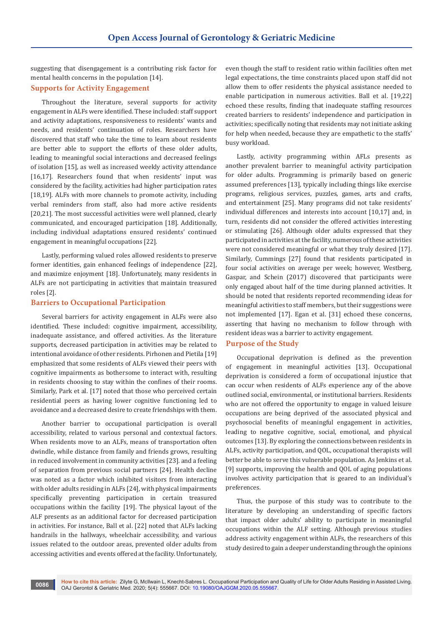suggesting that disengagement is a contributing risk factor for mental health concerns in the population [14].

## **Supports for Activity Engagement**

Throughout the literature, several supports for activity engagement in ALFs were identified. These included: staff support and activity adaptations, responsiveness to residents' wants and needs, and residents' continuation of roles. Researchers have discovered that staff who take the time to learn about residents are better able to support the efforts of these older adults, leading to meaningful social interactions and decreased feelings of isolation [15], as well as increased weekly activity attendance [16,17]. Researchers found that when residents' input was considered by the facility, activities had higher participation rates [18,19]. ALFs with more channels to promote activity, including verbal reminders from staff, also had more active residents [20,21]. The most successful activities were well planned, clearly communicated, and encouraged participation [18]. Additionally, including individual adaptations ensured residents' continued engagement in meaningful occupations [22].

Lastly, performing valued roles allowed residents to preserve former identities, gain enhanced feelings of independence [22], and maximize enjoyment [18]. Unfortunately, many residents in ALFs are not participating in activities that maintain treasured roles [2].

#### **Barriers to Occupational Participation**

Several barriers for activity engagement in ALFs were also identified. These included: cognitive impairment, accessibility, inadequate assistance, and offered activities. As the literature supports, decreased participation in activities may be related to intentional avoidance of other residents. Pirhonen and Pietila [19] emphasized that some residents of ALFs viewed their peers with cognitive impairments as bothersome to interact with, resulting in residents choosing to stay within the confines of their rooms. Similarly, Park et al. [17] noted that those who perceived certain residential peers as having lower cognitive functioning led to avoidance and a decreased desire to create friendships with them.

Another barrier to occupational participation is overall accessibility, related to various personal and contextual factors. When residents move to an ALFs, means of transportation often dwindle, while distance from family and friends grows, resulting in reduced involvement in community activities [23]. and a feeling of separation from previous social partners [24]. Health decline was noted as a factor which inhibited visitors from interacting with older adults residing in ALFs [24], with physical impairments specifically preventing participation in certain treasured occupations within the facility [19]. The physical layout of the ALF presents as an additional factor for decreased participation in activities. For instance, Ball et al. [22] noted that ALFs lacking handrails in the hallways, wheelchair accessibility, and various issues related to the outdoor areas, prevented older adults from accessing activities and events offered at the facility. Unfortunately,

even though the staff to resident ratio within facilities often met legal expectations, the time constraints placed upon staff did not allow them to offer residents the physical assistance needed to enable participation in numerous activities. Ball et al. [19,22] echoed these results, finding that inadequate staffing resources created barriers to residents' independence and participation in activities; specifically noting that residents may not initiate asking for help when needed, because they are empathetic to the staffs' busy workload.

Lastly, activity programming within AFLs presents as another prevalent barrier to meaningful activity participation for older adults. Programming is primarily based on generic assumed preferences [13], typically including things like exercise programs, religious services, puzzles, games, arts and crafts, and entertainment [25]. Many programs did not take residents' individual differences and interests into account [10,17] and, in turn, residents did not consider the offered activities interesting or stimulating [26]. Although older adults expressed that they participated in activities at the facility, numerous of these activities were not considered meaningful or what they truly desired [17]. Similarly, Cummings [27] found that residents participated in four social activities on average per week; however, Westberg, Gaspar, and Schein (2017) discovered that participants were only engaged about half of the time during planned activities. It should be noted that residents reported recommending ideas for meaningful activities to staff members, but their suggestions were not implemented [17]. Egan et al. [31] echoed these concerns, asserting that having no mechanism to follow through with resident ideas was a barrier to activity engagement.

#### **Purpose of the Study**

Occupational deprivation is defined as the prevention of engagement in meaningful activities [13]. Occupational deprivation is considered a form of occupational injustice that can occur when residents of ALFs experience any of the above outlined social, environmental, or institutional barriers. Residents who are not offered the opportunity to engage in valued leisure occupations are being deprived of the associated physical and psychosocial benefits of meaningful engagement in activities, leading to negative cognitive, social, emotional, and physical outcomes [13]. By exploring the connections between residents in ALFs, activity participation, and QOL, occupational therapists will better be able to serve this vulnerable population. As Jenkins et al. [9] supports, improving the health and QOL of aging populations involves activity participation that is geared to an individual's preferences.

Thus, the purpose of this study was to contribute to the literature by developing an understanding of specific factors that impact older adults' ability to participate in meaningful occupations within the ALF setting. Although previous studies address activity engagement within ALFs, the researchers of this study desired to gain a deeper understanding through the opinions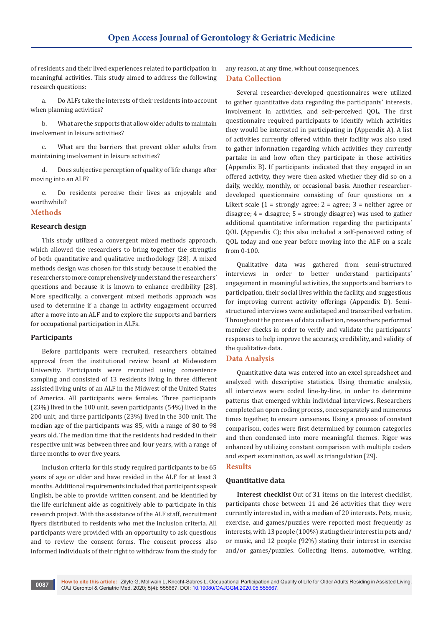of residents and their lived experiences related to participation in meaningful activities. This study aimed to address the following research questions:

a. Do ALFs take the interests of their residents into account when planning activities?

b. What are the supports that allow older adults to maintain involvement in leisure activities?

c. What are the barriers that prevent older adults from maintaining involvement in leisure activities?

d. Does subjective perception of quality of life change after moving into an ALF?

e. Do residents perceive their lives as enjoyable and worthwhile?

#### **Methods**

#### **Research design**

This study utilized a convergent mixed methods approach, which allowed the researchers to bring together the strengths of both quantitative and qualitative methodology [28]. A mixed methods design was chosen for this study because it enabled the researchers to more comprehensively understand the researchers' questions and because it is known to enhance credibility [28]. More specifically, a convergent mixed methods approach was used to determine if a change in activity engagement occurred after a move into an ALF and to explore the supports and barriers for occupational participation in ALFs.

#### **Participants**

Before participants were recruited, researchers obtained approval from the institutional review board at Midwestern University. Participants were recruited using convenience sampling and consisted of 13 residents living in three different assisted living units of an ALF in the Midwest of the United States of America. All participants were females. Three participants (23%) lived in the 100 unit, seven participants (54%) lived in the 200 unit, and three participants (23%) lived in the 300 unit. The median age of the participants was 85, with a range of 80 to 98 years old. The median time that the residents had resided in their respective unit was between three and four years, with a range of three months to over five years.

Inclusion criteria for this study required participants to be 65 years of age or older and have resided in the ALF for at least 3 months. Additional requirements included that participants speak English, be able to provide written consent, and be identified by the life enrichment aide as cognitively able to participate in this research project. With the assistance of the ALF staff, recruitment flyers distributed to residents who met the inclusion criteria. All participants were provided with an opportunity to ask questions and to review the consent forms. The consent process also informed individuals of their right to withdraw from the study for

any reason, at any time, without consequences. **Data Collection** 

Several researcher-developed questionnaires were utilized to gather quantitative data regarding the participants' interests, involvement in activities, and self-perceived QOL. The first questionnaire required participants to identify which activities they would be interested in participating in (Appendix A). A list of activities currently offered within their facility was also used to gather information regarding which activities they currently partake in and how often they participate in those activities (Appendix B). If participants indicated that they engaged in an offered activity, they were then asked whether they did so on a daily, weekly, monthly, or occasional basis. Another researcherdeveloped questionnaire consisting of four questions on a Likert scale  $(1 =$  strongly agree;  $2 =$  agree;  $3 =$  neither agree or disagree; 4 = disagree; 5 = strongly disagree) was used to gather additional quantitative information regarding the participants' QOL (Appendix C); this also included a self-perceived rating of QOL today and one year before moving into the ALF on a scale from 0-100.

Qualitative data was gathered from semi-structured interviews in order to better understand participants' engagement in meaningful activities, the supports and barriers to participation, their social lives within the facility, and suggestions for improving current activity offerings (Appendix D). Semistructured interviews were audiotaped and transcribed verbatim. Throughout the process of data collection, researchers performed member checks in order to verify and validate the participants' responses to help improve the accuracy, credibility, and validity of the qualitative data.

#### **Data Analysis**

Quantitative data was entered into an excel spreadsheet and analyzed with descriptive statistics. Using thematic analysis, all interviews were coded line-by-line, in order to determine patterns that emerged within individual interviews. Researchers completed an open coding process, once separately and numerous times together, to ensure consensus. Using a process of constant comparison, codes were first determined by common categories and then condensed into more meaningful themes. Rigor was enhanced by utilizing constant comparison with multiple coders and expert examination, as well as triangulation [29].

#### **Results**

#### **Quantitative data**

**Interest checklist** Out of 31 items on the interest checklist, participants chose between 11 and 26 activities that they were currently interested in, with a median of 20 interests. Pets, music, exercise, and games/puzzles were reported most frequently as interests, with 13 people (100%) stating their interest in pets and/ or music, and 12 people (92%) stating their interest in exercise and/or games/puzzles. Collecting items, automotive, writing,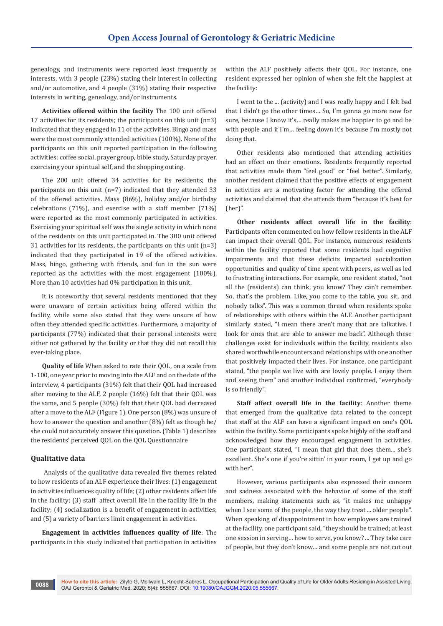genealogy, and instruments were reported least frequently as interests, with 3 people (23%) stating their interest in collecting and/or automotive, and 4 people (31%) stating their respective interests in writing, genealogy, and/or instruments.

**Activities offered within the facility** The 100 unit offered 17 activities for its residents; the participants on this unit (n=3) indicated that they engaged in 11 of the activities. Bingo and mass were the most commonly attended activities (100%). None of the participants on this unit reported participation in the following activities: coffee social, prayer group, bible study, Saturday prayer, exercising your spiritual self, and the shopping outing.

The 200 unit offered 34 activities for its residents; the participants on this unit (n=7) indicated that they attended 33 of the offered activities. Mass (86%), holiday and/or birthday celebrations (71%), and exercise with a staff member (71%) were reported as the most commonly participated in activities. Exercising your spiritual self was the single activity in which none of the residents on this unit participated in. The 300 unit offered 31 activities for its residents, the participants on this unit (n=3) indicated that they participated in 19 of the offered activities. Mass, bingo, gathering with friends, and fun in the sun were reported as the activities with the most engagement (100%). More than 10 activities had 0% participation in this unit.

It is noteworthy that several residents mentioned that they were unaware of certain activities being offered within the facility, while some also stated that they were unsure of how often they attended specific activities. Furthermore, a majority of participants (77%) indicated that their personal interests were either not gathered by the facility or that they did not recall this ever-taking place.

**Quality of life** When asked to rate their QOL, on a scale from 1-100, one year prior to moving into the ALF and on the date of the interview, 4 participants (31%) felt that their QOL had increased after moving to the ALF, 2 people (16%) felt that their QOL was the same, and 5 people (30%) felt that their QOL had decreased after a move to the ALF (Figure 1). One person (8%) was unsure of how to answer the question and another (8%) felt as though he/ she could not accurately answer this question. (Table 1) describes the residents' perceived QOL on the QOL Questionnaire

#### **Qualitative data**

 Analysis of the qualitative data revealed five themes related to how residents of an ALF experience their lives: (1) engagement in activities influences quality of life; (2) other residents affect life in the facility; (3) staff affect overall life in the facility life in the facility; (4) socialization is a benefit of engagement in activities; and (5) a variety of barriers limit engagement in activities.

**Engagement in activities influences quality of life**: The participants in this study indicated that participation in activities within the ALF positively affects their QOL. For instance, one resident expressed her opinion of when she felt the happiest at the facility:

I went to the ... (activity) and I was really happy and I felt bad that I didn't go the other times… So, I'm gonna go more now for sure, because I know it's… really makes me happier to go and be with people and if I'm… feeling down it's because I'm mostly not doing that.

Other residents also mentioned that attending activities had an effect on their emotions. Residents frequently reported that activities made them "feel good" or "feel better". Similarly, another resident claimed that the positive effects of engagement in activities are a motivating factor for attending the offered activities and claimed that she attends them "because it's best for (her)".

**Other residents affect overall life in the facility**: Participants often commented on how fellow residents in the ALF can impact their overall QOL. For instance, numerous residents within the facility reported that some residents had cognitive impairments and that these deficits impacted socialization opportunities and quality of time spent with peers, as well as led to frustrating interactions. For example, one resident stated, "not all the (residents) can think, you know? They can't remember. So, that's the problem. Like, you come to the table, you sit, and nobody talks". This was a common thread when residents spoke of relationships with others within the ALF. Another participant similarly stated, "I mean there aren't many that are talkative. I look for ones that are able to answer me back". Although these challenges exist for individuals within the facility, residents also shared worthwhile encounters and relationships with one another that positively impacted their lives. For instance, one participant stated, "the people we live with are lovely people. I enjoy them and seeing them" and another individual confirmed, "everybody is so friendly".

**Staff affect overall life in the facility**: Another theme that emerged from the qualitative data related to the concept that staff at the ALF can have a significant impact on one's QOL within the facility. Some participants spoke highly of the staff and acknowledged how they encouraged engagement in activities. One participant stated, "I mean that girl that does them... she's excellent. She's one if you're sittin' in your room, I get up and go with her".

However, various participants also expressed their concern and sadness associated with the behavior of some of the staff members, making statements such as, "it makes me unhappy when I see some of the people, the way they treat ... older people". When speaking of disappointment in how employees are trained at the facility, one participant said, "they should be trained; at least one session in serving… how to serve, you know? ... They take care of people, but they don't know… and some people are not cut out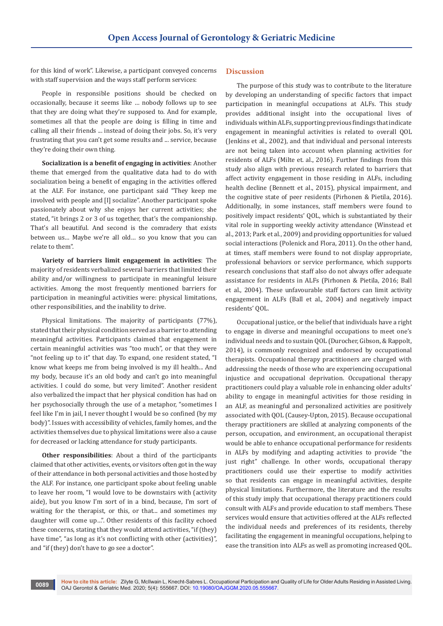for this kind of work". Likewise, a participant conveyed concerns with staff supervision and the ways staff perform services:

People in responsible positions should be checked on occasionally, because it seems like … nobody follows up to see that they are doing what they're supposed to. And for example, sometimes all that the people are doing is filling in time and calling all their friends ... instead of doing their jobs. So, it's very frustrating that you can't get some results and ... service, because they're doing their own thing.

**Socialization is a benefit of engaging in activities**: Another theme that emerged from the qualitative data had to do with socialization being a benefit of engaging in the activities offered at the ALF. For instance, one participant said "They keep me involved with people and [I] socialize". Another participant spoke passionately about why she enjoys her current activities; she stated, "it brings 2 or 3 of us together, that's the companionship. That's all beautiful. And second is the comradery that exists between us… Maybe we're all old… so you know that you can relate to them".

**Variety of barriers limit engagement in activities**: The majority of residents verbalized several barriers that limited their ability and/or willingness to participate in meaningful leisure activities. Among the most frequently mentioned barriers for participation in meaningful activities were: physical limitations, other responsibilities, and the inability to drive.

Physical limitations. The majority of participants (77%), stated that their physical condition served as a barrier to attending meaningful activities. Participants claimed that engagement in certain meaningful activities was "too much", or that they were "not feeling up to it" that day. To expand, one resident stated, "I know what keeps me from being involved is my ill health... And my body, because it's an old body and can't go into meaningful activities. I could do some, but very limited". Another resident also verbalized the impact that her physical condition has had on her psychosocially through the use of a metaphor, "sometimes I feel like I'm in jail, I never thought I would be so confined (by my body)". Issues with accessibility of vehicles, family homes, and the activities themselves due to physical limitations were also a cause for decreased or lacking attendance for study participants.

**Other responsibilities**: About a third of the participants claimed that other activities, events, or visitors often got in the way of their attendance in both personal activities and those hosted by the ALF. For instance, one participant spoke about feeling unable to leave her room, "I would love to be downstairs with (activity aide), but you know I'm sort of in a bind, because, I'm sort of waiting for the therapist, or this, or that... and sometimes my daughter will come up…". Other residents of this facility echoed these concerns, stating that they would attend activities, "if (they) have time", "as long as it's not conflicting with other (activities)", and "if (they) don't have to go see a doctor".

#### **Discussion**

The purpose of this study was to contribute to the literature by developing an understanding of specific factors that impact participation in meaningful occupations at ALFs. This study provides additional insight into the occupational lives of individuals within ALFs, supporting previous findings that indicate engagement in meaningful activities is related to overall QOL (Jenkins et al., 2002), and that individual and personal interests are not being taken into account when planning activities for residents of ALFs (Milte et. al., 2016). Further findings from this study also align with previous research related to barriers that affect activity engagement in those residing in ALFs, including health decline (Bennett et al., 2015), physical impairment, and the cognitive state of peer residents (Pirhonen & Pietila, 2016). Additionally, in some instances, staff members were found to positively impact residents' QOL, which is substantiated by their vital role in supporting weekly activity attendance (Winstead et al., 2013; Park et al., 2009) and providing opportunities for valued social interactions (Polenick and Flora, 2011). On the other hand, at times, staff members were found to not display appropriate, professional behaviors or service performance, which supports research conclusions that staff also do not always offer adequate assistance for residents in ALFs (Pirhonen & Pietila, 2016; Ball et al., 2004). These unfavourable staff factors can limit activity engagement in ALFs (Ball et al., 2004) and negatively impact residents' QOL.

Occupational justice, or the belief that individuals have a right to engage in diverse and meaningful occupations to meet one's individual needs and to sustain QOL (Durocher, Gibson, & Rappolt, 2014), is commonly recognized and endorsed by occupational therapists. Occupational therapy practitioners are charged with addressing the needs of those who are experiencing occupational injustice and occupational deprivation. Occupational therapy practitioners could play a valuable role in enhancing older adults' ability to engage in meaningful activities for those residing in an ALF, as meaningful and personalized activities are positively associated with QOL (Causey-Upton, 2015). Because occupational therapy practitioners are skilled at analyzing components of the person, occupation, and environment, an occupational therapist would be able to enhance occupational performance for residents in ALFs by modifying and adapting activities to provide "the just right" challenge. In other words, occupational therapy practitioners could use their expertise to modify activities so that residents can engage in meaningful activities, despite physical limitations. Furthermore, the literature and the results of this study imply that occupational therapy practitioners could consult with ALFs and provide education to staff members. These services would ensure that activities offered at the ALFs reflected the individual needs and preferences of its residents, thereby facilitating the engagement in meaningful occupations, helping to ease the transition into ALFs as well as promoting increased QOL.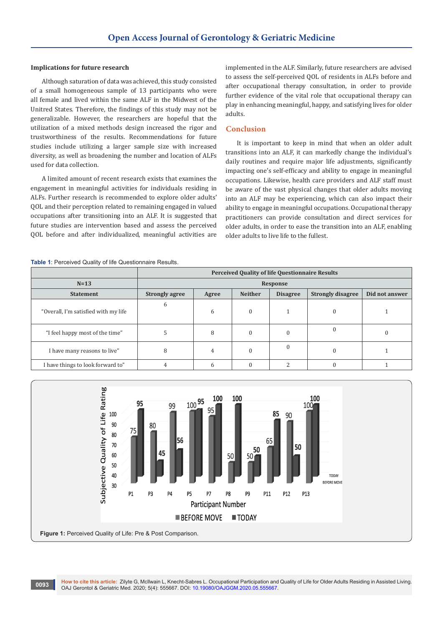#### **Implications for future research**

Although saturation of data was achieved, this study consisted of a small homogeneous sample of 13 participants who were all female and lived within the same ALF in the Midwest of the Unitred States. Therefore, the findings of this study may not be generalizable. However, the researchers are hopeful that the utilization of a mixed methods design increased the rigor and trustworthiness of the results. Recommendations for future studies include utilizing a larger sample size with increased diversity, as well as broadening the number and location of ALFs used for data collection.

A limited amount of recent research exists that examines the engagement in meaningful activities for individuals residing in ALFs. Further research is recommended to explore older adults' QOL and their perception related to remaining engaged in valued occupations after transitioning into an ALF. It is suggested that future studies are intervention based and assess the perceived QOL before and after individualized, meaningful activities are

implemented in the ALF. Similarly, future researchers are advised to assess the self-perceived QOL of residents in ALFs before and after occupational therapy consultation, in order to provide further evidence of the vital role that occupational therapy can play in enhancing meaningful, happy, and satisfying lives for older adults.

## **Conclusion**

It is important to keep in mind that when an older adult transitions into an ALF, it can markedly change the individual's daily routines and require major life adjustments, significantly impacting one's self-efficacy and ability to engage in meaningful occupations. Likewise, health care providers and ALF staff must be aware of the vast physical changes that older adults moving into an ALF may be experiencing, which can also impact their ability to engage in meaningful occupations. Occupational therapy practitioners can provide consultation and direct services for older adults, in order to ease the transition into an ALF, enabling older adults to live life to the fullest.

#### **Table 1**: Perceived Quality of life Questionnaire Results.

|                                      | <b>Perceived Quality of life Questionnaire Results</b> |       |                |                 |                          |                |
|--------------------------------------|--------------------------------------------------------|-------|----------------|-----------------|--------------------------|----------------|
| $N=13$                               | Response                                               |       |                |                 |                          |                |
| <b>Statement</b>                     | <b>Strongly agree</b>                                  | Agree | <b>Neither</b> | <b>Disagree</b> | <b>Strongly disagree</b> | Did not answer |
| "Overall, I'm satisfied with my life | 6                                                      | 6     | $\Omega$       |                 | 0                        |                |
| "I feel happy most of the time"      | э                                                      | 8     |                | 0               | $\Omega$                 |                |
| I have many reasons to live"         | 8                                                      | 4     |                |                 | C                        |                |
| I have things to look forward to"    | 4                                                      | h     |                | C               |                          |                |

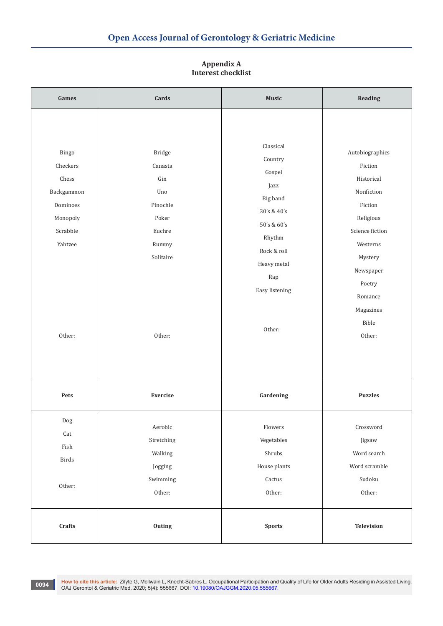| Games                                                                                             | Cards<br>Music                                                                                 |                                                                                                                                                             | Reading                                                                                                                                                                                    |
|---------------------------------------------------------------------------------------------------|------------------------------------------------------------------------------------------------|-------------------------------------------------------------------------------------------------------------------------------------------------------------|--------------------------------------------------------------------------------------------------------------------------------------------------------------------------------------------|
| Bingo<br>Checkers<br>Chess<br>Backgammon<br>Dominoes<br>Monopoly<br>Scrabble<br>Yahtzee<br>Other: | Bridge<br>Canasta<br>Gin<br>Uno<br>Pinochle<br>Poker<br>Euchre<br>Rummy<br>Solitaire<br>Other: | Classical<br>Country<br>Gospel<br>Jazz<br>Big band<br>30's & 40's<br>50's & 60's<br>Rhythm<br>Rock & roll<br>Heavy metal<br>Rap<br>Easy listening<br>Other: | Autobiographies<br>Fiction<br>Historical<br>Nonfiction<br>Fiction<br>Religious<br>Science fiction<br>Westerns<br>Mystery<br>Newspaper<br>Poetry<br>Romance<br>Magazines<br>Bible<br>Other: |
| Pets                                                                                              | Exercise                                                                                       | Gardening                                                                                                                                                   | <b>Puzzles</b>                                                                                                                                                                             |
| Dog<br>$\operatorname{Cat}$<br>${\rm Fish}$<br>$\operatorname{Birds}$<br>Other:                   | $\Large{\bf \large{A}erobic}$<br>Stretching<br>Walking<br>Jogging<br>Swimming<br>Other:        | Flowers<br>Vegetables<br>Shrubs<br>House plants<br>Cactus<br>Other:                                                                                         | Crossword<br>Jigsaw<br>Word search<br>Word scramble<br>Sudoku<br>Other:                                                                                                                    |
| Crafts                                                                                            | Outing                                                                                         | <b>Sports</b>                                                                                                                                               | <b>Television</b>                                                                                                                                                                          |

# **Appendix A Interest checklist**

1994 How to cite this article: Zilyte G, McIlwain L, Knecht-Sabres L. Occupational Participation and Quality of Life for Older Adults Residing in Assisted Living.<br>OAJ Gerontol & Geriatric Med. 2020; 5(4): 555667. DOI: 10.1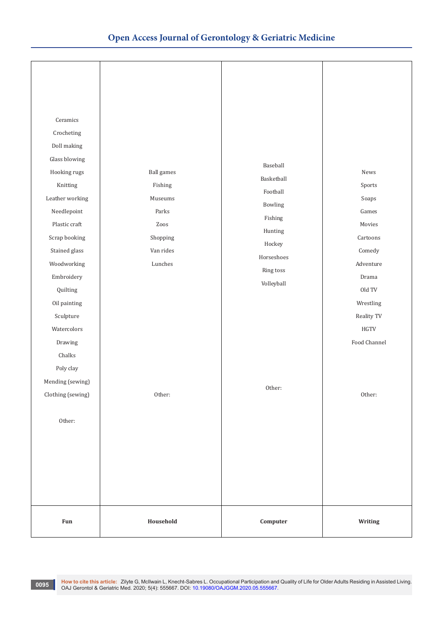| Ceramics<br>Crocheting<br>Doll making<br>Glass blowing<br>Hooking rugs<br>Knitting<br>Leather working<br>Needlepoint<br>Plastic craft<br>Scrap booking<br>Stained glass<br>Woodworking<br>Embroidery<br>Quilting<br>Oil painting<br>Sculpture<br>Watercolors<br>Drawing<br>Chalks<br>Poly clay | <b>Ball</b> games<br>Fishing<br>Museums<br>Parks<br>Zoos<br>Shopping<br>Van rides<br>Lunches | Baseball<br>Basketball<br>Football<br>Bowling<br>Fishing<br>Hunting<br>Hockey<br>Horseshoes<br>Ring toss<br>Volleyball | News<br>Sports<br>Soaps<br>Games<br>Movies<br>Cartoons<br>Comedy<br>Adventure<br>Drama<br>Old TV<br>Wrestling<br>Reality TV<br>$_{\mathrm{H} \mathrm{G} \mathrm{T} \mathrm{V}}$<br>Food Channel |
|------------------------------------------------------------------------------------------------------------------------------------------------------------------------------------------------------------------------------------------------------------------------------------------------|----------------------------------------------------------------------------------------------|------------------------------------------------------------------------------------------------------------------------|-------------------------------------------------------------------------------------------------------------------------------------------------------------------------------------------------|
| Mending (sewing)<br>Clothing (sewing)<br>Other:                                                                                                                                                                                                                                                | Other:                                                                                       | Other:                                                                                                                 | Other:                                                                                                                                                                                          |
| Fun                                                                                                                                                                                                                                                                                            | Household                                                                                    | $\begin{array}{c} \textbf{Computer} \end{array}$                                                                       | Writing                                                                                                                                                                                         |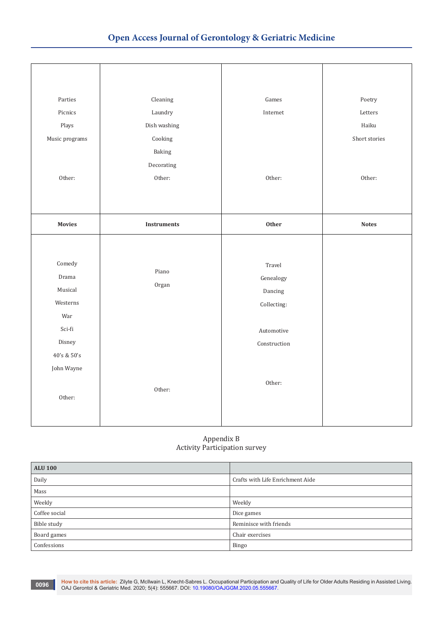| Parties<br>Picnics<br>Plays<br>Music programs                                      | Cleaning<br>Laundry<br>Dish washing<br>Cooking<br>Baking | Games<br>Internet                                                           | Poetry<br>Letters<br>Haiku<br>Short stories |
|------------------------------------------------------------------------------------|----------------------------------------------------------|-----------------------------------------------------------------------------|---------------------------------------------|
| Other:                                                                             | Decorating<br>Other:                                     | Other:                                                                      | Other:                                      |
| <b>Movies</b>                                                                      | <b>Instruments</b>                                       | Other                                                                       | <b>Notes</b>                                |
| Comedy<br>Drama<br>Musical<br>Westerns<br>War<br>Sci-fi<br>Disney<br>40's & $50's$ | Piano<br>Organ                                           | Travel<br>Genealogy<br>Dancing<br>Collecting:<br>Automotive<br>Construction |                                             |
| John Wayne<br>Other:                                                               | Other:                                                   | Other:                                                                      |                                             |

## Appendix B Activity Participation survey

| <b>ALU 100</b> |                                  |
|----------------|----------------------------------|
| Daily          | Crafts with Life Enrichment Aide |
| Mass           |                                  |
| Weekly         | Weekly                           |
| Coffee social  | Dice games                       |
| Bible study    | Reminisce with friends           |
| Board games    | Chair exercises                  |
| Confessions    | Bingo                            |

1996 How to cite this article: Zilyte G, McIlwain L, Knecht-Sabres L. Occupational Participation and Quality of Life for Older Adults Residing in Assisted Living.<br>OAJ Gerontol & Geriatric Med. 2020; 5(4): 555667. DOI: 10.1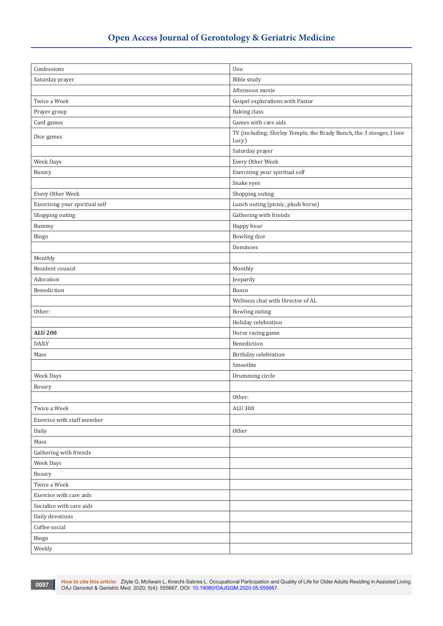| Confessions                      | Uno                                                                            |
|----------------------------------|--------------------------------------------------------------------------------|
|                                  |                                                                                |
| Saturday prayer                  | Bible study                                                                    |
|                                  | Afternoon movie                                                                |
| Twice a Week                     | Gospel explorations with Pastor                                                |
| Prayer group                     | <b>Baking</b> class                                                            |
| Card games                       | Games with care aids                                                           |
| Dice games                       | TV (including: Shirley Temple, the Brady Bunch, the 3 stooges, I love<br>Lucy) |
|                                  | Saturday prayer                                                                |
| Week Days                        | Every Other Week                                                               |
| Rosary                           | Exercising your spiritual self                                                 |
|                                  | Snake eyes                                                                     |
| Every Other Week                 | Shopping outing                                                                |
| Exercising your spiritual self   | Lunch outing (picnic, plush horse)                                             |
| Shopping outing                  | Gathering with friends                                                         |
| Rummy                            | Happy hour                                                                     |
| Bingo                            | <b>Bowling</b> dice                                                            |
|                                  | Dominoes                                                                       |
| Monthly                          |                                                                                |
| Resident council                 | Monthly                                                                        |
| Adoration                        | Jeopardy                                                                       |
| Benediction                      | Bunco                                                                          |
|                                  | Wellness chat with Director of AL                                              |
| Other:                           | <b>Bowling outing</b>                                                          |
|                                  | Holiday celebration                                                            |
| <b>ALU 200</b>                   | Horse racing game                                                              |
| <b>DAILY</b>                     | Benediction                                                                    |
| Mass                             | Birthday celebration                                                           |
|                                  | Smoothie                                                                       |
| Week Days                        | Drumming circle                                                                |
| Rosary                           |                                                                                |
|                                  | Other:                                                                         |
| Twice a Week                     | <b>ALU 300</b>                                                                 |
| Exercise with staff member       |                                                                                |
| Daily                            | Other                                                                          |
| Mass                             |                                                                                |
| Gathering with friends           |                                                                                |
| Week Days                        |                                                                                |
| Rosary                           |                                                                                |
| Twice a Week                     |                                                                                |
| Exercise with care aids          |                                                                                |
| Socialize with care aids         |                                                                                |
|                                  |                                                                                |
| Daily devotions<br>Coffee social |                                                                                |
|                                  |                                                                                |
| Bingo                            |                                                                                |
| Weekly                           |                                                                                |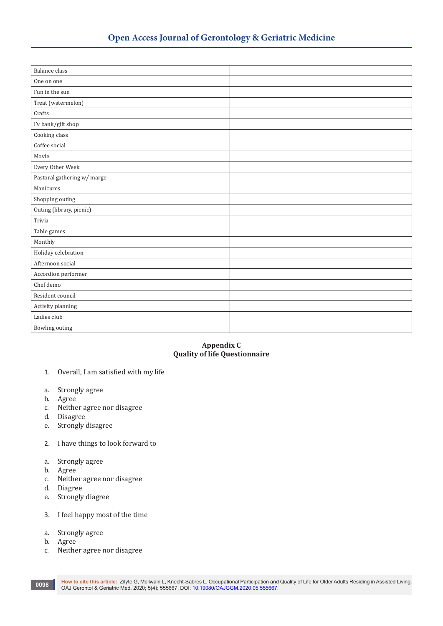| <b>Balance</b> class        |  |
|-----------------------------|--|
| One on one                  |  |
| Fun in the sun              |  |
| Treat (watermelon)          |  |
| Crafts                      |  |
| Fv bank/gift shop           |  |
| Cooking class               |  |
| Coffee social               |  |
| Movie                       |  |
| Every Other Week            |  |
| Pastoral gathering w/ marge |  |
| Manicures                   |  |
| Shopping outing             |  |
| Outing (library, picnic)    |  |
| Trivia                      |  |
| Table games                 |  |
| Monthly                     |  |
| Holiday celebration         |  |
| Afternoon social            |  |
| Accordion performer         |  |
| Chef demo                   |  |
| Resident council            |  |
| Activity planning           |  |
| Ladies club                 |  |
| Bowling outing              |  |

# **Appendix C Quality of life Questionnaire**

- 1. Overall, I am satisfied with my life
- a. Strongly agree
- b. Agree
- c. Neither agree nor disagree
- d. Disagree
- e. Strongly disagree
- 2. I have things to look forward to
- a. Strongly agree
- b. Agree
- c. Neither agree nor disagree
- d. Diagree
- e. Strongly diagree
- 3. I feel happy most of the time
- a. Strongly agree
- b. Agree
- c. Neither agree nor disagree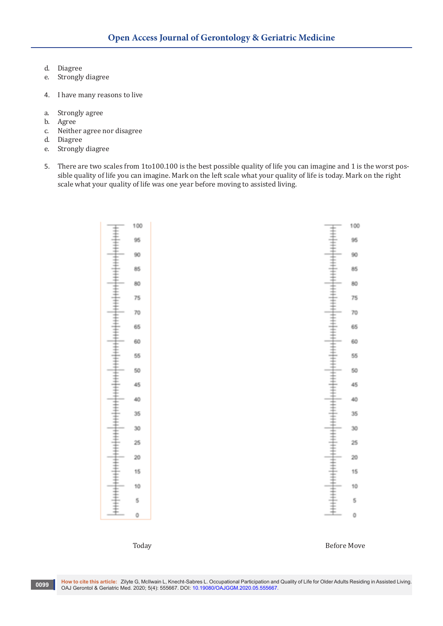- d. Diagree
- Strongly diagree
- 4. I have many reasons to live
- a. Strongly agree
- b. Agree<br>c. Neithe
- Neither agree nor disagree
- d. Diagree
- Strongly diagree
- 5. There are two scales from 1to100.100 is the best possible quality of life you can imagine and 1 is the worst possible quality of life you can imagine. Mark on the left scale what your quality of life is today. Mark on the right scale what your quality of life was one year before moving to assisted living.



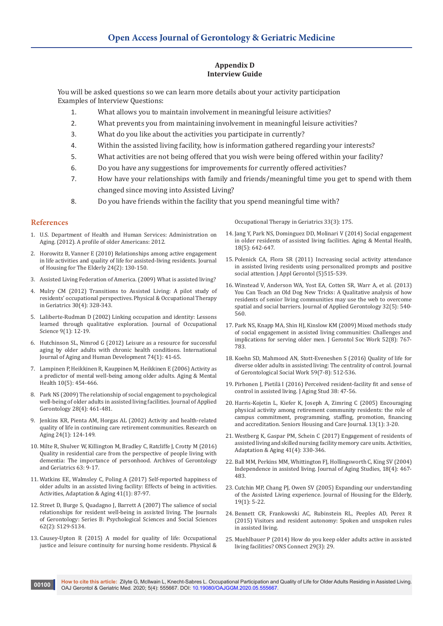## **Appendix D Interview Guide**

You will be asked questions so we can learn more details about your activity participation Examples of Interview Questions:

- 1. What allows you to maintain involvement in meaningful leisure activities?
- 2. What prevents you from maintaining involvement in meaningful leisure activities?
- 3. What do you like about the activities you participate in currently?
- 4. Within the assisted living facility, how is information gathered regarding your interests?
- 5. What activities are not being offered that you wish were being offered within your facility?
- 6. Do you have any suggestions for improvements for currently offered activities?
- 7. How have your relationships with family and friends/meaningful time you get to spend with them changed since moving into Assisted Living?
- 8. Do you have friends within the facility that you spend meaningful time with?

#### **References**

- 1. U.S. Department of Health and Human Services: Administration on Aging. (2012). A profile of older Americans: 2012.
- 2. [Horowitz B, Vanner E \(2010\) Relationships among active engagement](https://www.tandfonline.com/doi/abs/10.1080/02763891003757056?journalCode=wjhe20)  [in life activities and quality of life for assisted-living residents. Journal](https://www.tandfonline.com/doi/abs/10.1080/02763891003757056?journalCode=wjhe20)  [of Housing for The Elderly 24\(2\): 130-150.](https://www.tandfonline.com/doi/abs/10.1080/02763891003757056?journalCode=wjhe20)
- 3. Assisted Living Federation of America. (2009) What is assisted living?
- 4. [Mulry CM \(2012\) Transitions to Assisted Living: A pilot study of](https://psycnet.apa.org/record/2012-33038-005)  [residents' occupational perspectives. Physical & Occupational Therapy](https://psycnet.apa.org/record/2012-33038-005)  [in Geriatrics 30\(4\): 328-343.](https://psycnet.apa.org/record/2012-33038-005)
- 5. [Laliberte-Rudman D \(2002\) Linking occupation and identity: Lessons](https://www.tandfonline.com/doi/abs/10.1080/14427591.2002.9686489)  [learned through qualitative exploration. Journal of Occupational](https://www.tandfonline.com/doi/abs/10.1080/14427591.2002.9686489)  [Science 9\(1\): 12-19.](https://www.tandfonline.com/doi/abs/10.1080/14427591.2002.9686489)
- 6. [Hutchinson SL, Nimrod G \(2012\) Leisure as a resource for successful](https://pubmed.ncbi.nlm.nih.gov/22696843/)  [aging by older adults with chronic health conditions. International](https://pubmed.ncbi.nlm.nih.gov/22696843/)  [Journal of Aging and Human Development 74\(1\): 41-65.](https://pubmed.ncbi.nlm.nih.gov/22696843/)
- 7. [Lampinen P, Heikkinen R, Kauppinen M, Heikkinen E \(2006\) Activity as](https://pubmed.ncbi.nlm.nih.gov/16938681/)  [a predictor of mental well-being among older adults. Aging & Mental](https://pubmed.ncbi.nlm.nih.gov/16938681/)  [Health 10\(5\): 454-466.](https://pubmed.ncbi.nlm.nih.gov/16938681/)
- 8. [Park NS \(2009\) The relationship of social engagement to psychological](https://journals.sagepub.com/doi/10.1177/0733464808328606)  [well-being of older adults in assisted living facilities. Journal of Applied](https://journals.sagepub.com/doi/10.1177/0733464808328606)  [Gerontology 28\(4\): 461-481.](https://journals.sagepub.com/doi/10.1177/0733464808328606)
- 9. [Jenkins KR, Pienta AM, Horgas AL \(2002\) Activity and health-related](https://journals.sagepub.com/doi/10.1177/0164027503024001008)  [quality of life in continuing care retirement communities. Research on](https://journals.sagepub.com/doi/10.1177/0164027503024001008)  [Aging 24\(1\): 124-149.](https://journals.sagepub.com/doi/10.1177/0164027503024001008)
- 10. [Milte R, Shulver W, Killington M, Bradley C, Ratcliffe J, Crotty M \(2016\)](https://pubmed.ncbi.nlm.nih.gov/26791166/)  [Quality in residential care from the perspective of people living with](https://pubmed.ncbi.nlm.nih.gov/26791166/)  [dementia: The importance of personhood. Archives of Gerontology](https://pubmed.ncbi.nlm.nih.gov/26791166/)  [and Geriatrics 63: 9-17.](https://pubmed.ncbi.nlm.nih.gov/26791166/)
- 11. [Watkins EE, Walmsley C, Poling A \(2017\) Self-reported happiness of](https://www.tandfonline.com/doi/abs/10.1080/01924788.2016.1272394)  [older adults in an assisted living facility: Effects of being in activities.](https://www.tandfonline.com/doi/abs/10.1080/01924788.2016.1272394)  [Activities, Adaptation & Aging 41\(1\): 87-97.](https://www.tandfonline.com/doi/abs/10.1080/01924788.2016.1272394)
- 12. [Street D, Burge S, Quadagno J, Barrett A \(2007\) The salience of social](https://academic.oup.com/psychsocgerontology/article/62/2/S129/548980)  [relationships for resident well-being in assisted living. The Journals](https://academic.oup.com/psychsocgerontology/article/62/2/S129/548980)  [of Gerontology: Series B: Psychological Sciences and Social Sciences](https://academic.oup.com/psychsocgerontology/article/62/2/S129/548980)  [62\(2\): S129-S134.](https://academic.oup.com/psychsocgerontology/article/62/2/S129/548980)
- 13. [Causey-Upton R \(2015\) A model for quality of life: Occupational](https://www.semanticscholar.org/paper/A-Model-for-Quality-of-Life%3A-Occupational-Justice-Causey-Upton/e3b4151fdc49092b67b966fa38c67ffcde9a61b5)  [justice and leisure continuity for nursing home residents. Physical &](https://www.semanticscholar.org/paper/A-Model-for-Quality-of-Life%3A-Occupational-Justice-Causey-Upton/e3b4151fdc49092b67b966fa38c67ffcde9a61b5)

[Occupational Therapy in Geriatrics 33\(3\): 175.](https://www.semanticscholar.org/paper/A-Model-for-Quality-of-Life%3A-Occupational-Justice-Causey-Upton/e3b4151fdc49092b67b966fa38c67ffcde9a61b5)

- 14. [Jang Y, Park NS, Dominguez DD, Molinari V \(2014\) Social engagement](https://pubmed.ncbi.nlm.nih.gov/24345086/)  [in older residents of assisted living facilities. Aging & Mental Health,](https://pubmed.ncbi.nlm.nih.gov/24345086/)  [18\(5\): 642-647.](https://pubmed.ncbi.nlm.nih.gov/24345086/)
- 15. [Polenick CA, Flora SR \(2011\) Increasing social activity attendance](https://pubmed.ncbi.nlm.nih.gov/25474760/)  [in assisted living residents using personalized prompts and positive](https://pubmed.ncbi.nlm.nih.gov/25474760/)  [social attention. J Appl Gerontol \(5\)515-539.](https://pubmed.ncbi.nlm.nih.gov/25474760/)
- 16. [Winstead V, Anderson WA, Yost EA, Cotten SR, Warr A, et al. \(2013\)](https://pubmed.ncbi.nlm.nih.gov/25474761/)  [You Can Teach an Old Dog New Tricks: A Qualitative analysis of how](https://pubmed.ncbi.nlm.nih.gov/25474761/)  [residents of senior living communities may use the web to overcome](https://pubmed.ncbi.nlm.nih.gov/25474761/)  [spatial and social barriers. Journal of Applied Gerontology 32\(5\): 540-](https://pubmed.ncbi.nlm.nih.gov/25474761/) [560.](https://pubmed.ncbi.nlm.nih.gov/25474761/)
- 17. [Park NS, Knapp MA, Shin HJ, Kinslow KM \(2009\) Mixed methods study](https://pubmed.ncbi.nlm.nih.gov/19830606/)  [of social engagement in assisted living communities: Challenges and](https://pubmed.ncbi.nlm.nih.gov/19830606/)  [implications for serving older men. J Gerontol Soc Work 52\(8\): 767-](https://pubmed.ncbi.nlm.nih.gov/19830606/) [783.](https://pubmed.ncbi.nlm.nih.gov/19830606/)
- 18. [Koehn SD, Mahmood AN, Stott-Eveneshen S \(2016\) Quality of life for](https://pubmed.ncbi.nlm.nih.gov/27824306/)  [diverse older adults in assisted living: The centrality of control. Journal](https://pubmed.ncbi.nlm.nih.gov/27824306/)  [of Gerontological Social Work 59\(7-8\): 512-536.](https://pubmed.ncbi.nlm.nih.gov/27824306/)
- 19. [Pirhonen J, Pietilä I \(2016\) Perceived resident-facility fit and sense of](https://pubmed.ncbi.nlm.nih.gov/27531452/)  [control in assisted living. J Aging Stud 38: 47-56.](https://pubmed.ncbi.nlm.nih.gov/27531452/)
- 20. [Harris-Kojetin L, Kiefer K, Joseph A, Zimring C \(2005\) Encouraging](https://activelivingresearch.org/encouraging-physical-activity-among-retirement-community-residents-role-campus-commitment)  [physical activity among retirement community residents: the role of](https://activelivingresearch.org/encouraging-physical-activity-among-retirement-community-residents-role-campus-commitment)  [campus commitment, programming, staffing, promotion, financing](https://activelivingresearch.org/encouraging-physical-activity-among-retirement-community-residents-role-campus-commitment)  [and accreditation. Seniors Housing and Care Journal. 13\(1\): 3-20.](https://activelivingresearch.org/encouraging-physical-activity-among-retirement-community-residents-role-campus-commitment)
- 21. [Westberg K, Gaspar PM, Schein C \(2017\) Engagement of residents of](https://www.tandfonline.com/doi/abs/10.1080/01924788.2016.1272394)  [assisted living and skilled nursing facility memory care units. Activities,](https://www.tandfonline.com/doi/abs/10.1080/01924788.2016.1272394)  [Adaptation & Aging 41\(4\): 330-346.](https://www.tandfonline.com/doi/abs/10.1080/01924788.2016.1272394)
- 22. [Ball MM, Perkins MM, Whittington FJ, Hollingsworth C, King SV \(2004\)](https://www.sciencedirect.com/science/article/abs/pii/S0890406504000416)  [Independence in assisted living. Journal of Aging Studies, 18\(4\): 467-](https://www.sciencedirect.com/science/article/abs/pii/S0890406504000416) [483.](https://www.sciencedirect.com/science/article/abs/pii/S0890406504000416)
- 23. [Cutchin MP, Chang PJ, Owen SV \(2005\) Expanding our understanding](https://www.tandfonline.com/doi/abs/10.1300/J081v19n01_02)  [of the Assisted Living experience. Journal of Housing for the Elderly,](https://www.tandfonline.com/doi/abs/10.1300/J081v19n01_02)  [19\(1\): 5-22.](https://www.tandfonline.com/doi/abs/10.1300/J081v19n01_02)
- 24. [Bennett CR, Frankowski AC, Rubinstein RL, Peeples AD, Perez R](https://pubmed.ncbi.nlm.nih.gov/26209795/)  [\(2015\) Visitors and resident autonomy: Spoken and unspoken rules](https://pubmed.ncbi.nlm.nih.gov/26209795/)  [in assisted living.](https://pubmed.ncbi.nlm.nih.gov/26209795/)
- 25. Muehlbauer P (2014) How do you keep older adults active in assisted living facilities? ONS Connect 29(3): 29.